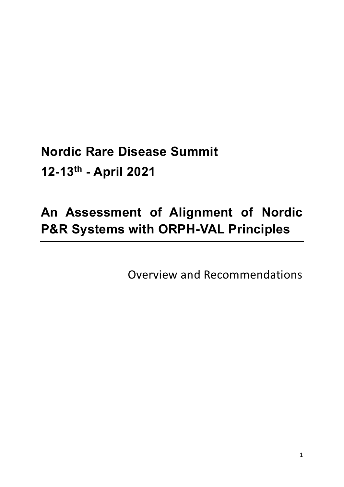**Nordic Rare Disease Summit 12-13th - April 2021**

# **An Assessment of Alignment of Nordic P&R Systems with ORPH-VAL Principles**

Overview and Recommendations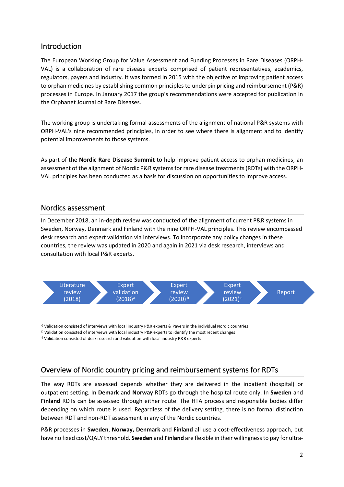#### Introduction

The European Working Group for Value Assessment and Funding Processes in Rare Diseases (ORPH-VAL) is a collaboration of rare disease experts comprised of patient representatives, academics, regulators, payers and industry. It was formed in 2015 with the objective of improving patient access to orphan medicines by establishing common principles to underpin pricing and reimbursement (P&R) processes in Europe. In January 2017 the group's recommendations were accepted for publication in the Orphanet Journal of Rare Diseases.

The working group is undertaking formal assessments of the alignment of national P&R systems with ORPH-VAL's nine recommended principles, in order to see where there is alignment and to identify potential improvements to those systems.

As part of the **Nordic Rare Disease Summit** to help improve patient access to orphan medicines, an assessment of the alignment of Nordic P&R systems for rare disease treatments (RDTs) with the ORPH-VAL principles has been conducted as a basis for discussion on opportunities to improve access.

#### Nordics assessment

In December 2018, an in-depth review was conducted of the alignment of current P&R systems in Sweden, Norway, Denmark and Finland with the nine ORPH-VAL principles. This review encompassed desk research and expert validation via interviews. To incorporate any policy changes in these countries, the review was updated in 2020 and again in 2021 via desk research, interviews and consultation with local P&R experts.



a) Validation consisted of interviews with local industry P&R experts & Payers in the individual Nordic countries b) Validation consisted of interviews with local industry P&R experts to identify the most recent changes

c) Validation consisted of desk research and validation with local industry P&R experts

## Overview of Nordic country pricing and reimbursement systems for RDTs

The way RDTs are assessed depends whether they are delivered in the inpatient (hospital) or outpatient setting. In **Demark** and **Norway** RDTs go through the hospital route only. In **Sweden** and **Finland** RDTs can be assessed through either route. The HTA process and responsible bodies differ depending on which route is used. Regardless of the delivery setting, there is no formal distinction between RDT and non-RDT assessment in any of the Nordic countries.

P&R processes in **Sweden**, **Norway, Denmark** and **Finland** all use a cost-effectiveness approach, but have no fixed cost/QALY threshold. **Sweden** and **Finland** are flexible in their willingness to pay for ultra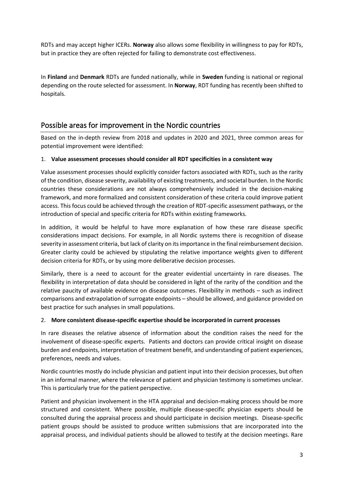RDTs and may accept higher ICERs. **Norway** also allows some flexibility in willingness to pay for RDTs, but in practice they are often rejected for failing to demonstrate cost effectiveness.

In **Finland** and **Denmark** RDTs are funded nationally, while in **Sweden** funding is national or regional depending on the route selected for assessment. In **Norway**, RDT funding has recently been shifted to hospitals.

## Possible areas for improvement in the Nordic countries

Based on the in-depth review from 2018 and updates in 2020 and 2021, three common areas for potential improvement were identified:

#### 1. **Value assessment processes should consider all RDT specificities in a consistent way**

Value assessment processes should explicitly consider factors associated with RDTs, such as the rarity of the condition, disease severity, availability of existing treatments, and societal burden. In the Nordic countries these considerations are not always comprehensively included in the decision-making framework, and more formalized and consistent consideration of these criteria could improve patient access. This focus could be achieved through the creation of RDT-specific assessment pathways, or the introduction of special and specific criteria for RDTs within existing frameworks.

In addition, it would be helpful to have more explanation of how these rare disease specific considerations impact decisions. For example, in all Nordic systems there is recognition of disease severity in assessment criteria, but lack of clarity on its importance in the final reimbursement decision. Greater clarity could be achieved by stipulating the relative importance weights given to different decision criteria for RDTs, or by using more deliberative decision processes.

Similarly, there is a need to account for the greater evidential uncertainty in rare diseases. The flexibility in interpretation of data should be considered in light of the rarity of the condition and the relative paucity of available evidence on disease outcomes. Flexibility in methods – such as indirect comparisons and extrapolation of surrogate endpoints – should be allowed, and guidance provided on best practice for such analyses in small populations.

#### 2. **More consistent disease-specific expertise should be incorporated in current processes**

In rare diseases the relative absence of information about the condition raises the need for the involvement of disease-specific experts. Patients and doctors can provide critical insight on disease burden and endpoints, interpretation of treatment benefit, and understanding of patient experiences, preferences, needs and values.

Nordic countries mostly do include physician and patient input into their decision processes, but often in an informal manner, where the relevance of patient and physician testimony is sometimes unclear. This is particularly true for the patient perspective.

Patient and physician involvement in the HTA appraisal and decision-making process should be more structured and consistent. Where possible, multiple disease-specific physician experts should be consulted during the appraisal process and should participate in decision meetings. Disease-specific patient groups should be assisted to produce written submissions that are incorporated into the appraisal process, and individual patients should be allowed to testify at the decision meetings. Rare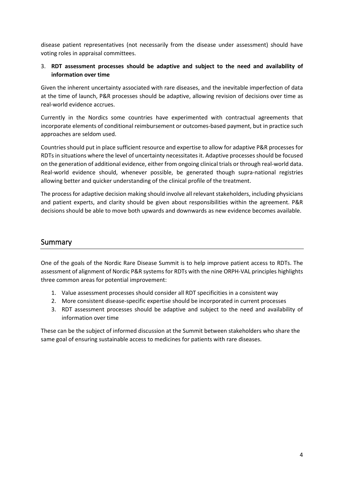disease patient representatives (not necessarily from the disease under assessment) should have voting roles in appraisal committees.

#### 3. **RDT assessment processes should be adaptive and subject to the need and availability of information over time**

Given the inherent uncertainty associated with rare diseases, and the inevitable imperfection of data at the time of launch, P&R processes should be adaptive, allowing revision of decisions over time as real-world evidence accrues.

Currently in the Nordics some countries have experimented with contractual agreements that incorporate elements of conditional reimbursement or outcomes-based payment, but in practice such approaches are seldom used.

Countries should put in place sufficient resource and expertise to allow for adaptive P&R processes for RDTs in situations where the level of uncertainty necessitates it. Adaptive processes should be focused on the generation of additional evidence, either from ongoing clinical trials or through real-world data. Real-world evidence should, whenever possible, be generated though supra-national registries allowing better and quicker understanding of the clinical profile of the treatment.

The process for adaptive decision making should involve all relevant stakeholders, including physicians and patient experts, and clarity should be given about responsibilities within the agreement. P&R decisions should be able to move both upwards and downwards as new evidence becomes available.

#### Summary

One of the goals of the Nordic Rare Disease Summit is to help improve patient access to RDTs. The assessment of alignment of Nordic P&R systems for RDTs with the nine ORPH-VAL principles highlights three common areas for potential improvement:

- 1. Value assessment processes should consider all RDT specificities in a consistent way
- 2. More consistent disease-specific expertise should be incorporated in current processes
- 3. RDT assessment processes should be adaptive and subject to the need and availability of information over time

These can be the subject of informed discussion at the Summit between stakeholders who share the same goal of ensuring sustainable access to medicines for patients with rare diseases.